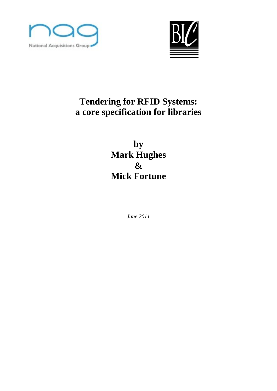



# **Tendering for RFID Systems: a core specification for libraries**

**by Mark Hughes & Mick Fortune**

*June 2011*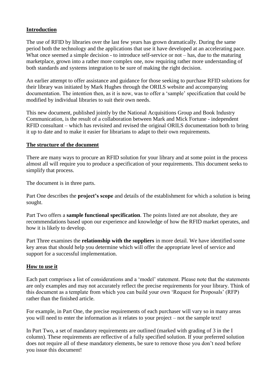#### **Introduction**

The use of RFID by libraries over the last few years has grown dramatically. During the same period both the technology and the applications that use it have developed at an accelerating pace. What once seemed a simple decision - to introduce self-service or not – has, due to the maturing marketplace, grown into a rather more complex one, now requiring rather more understanding of both standards and systems integration to be sure of making the right decision.

An earlier attempt to offer assistance and guidance for those seeking to purchase RFID solutions for their library was initiated by Mark Hughes through the ORILS website and accompanying documentation. The intention then, as it is now, was to offer a "sample" specification that could be modified by individual libraries to suit their own needs.

This new document, published jointly by the National Acquisitions Group and Book Industry Communication, is the result of a collaboration between Mark and Mick Fortune - independent RFID consultant – which has revisited and revised the original ORILS documentation both to bring it up to date and to make it easier for librarians to adapt to their own requirements.

#### **The structure of the document**

There are many ways to procure an RFID solution for your library and at some point in the process almost all will require you to produce a specification of your requirements. This document seeks to simplify that process.

The document is in three parts.

Part One describes the **project's scope** and details of the establishment for which a solution is being sought.

Part Two offers a **sample functional specification**. The points listed are not absolute, they are recommendations based upon our experience and knowledge of how the RFID market operates, and how it is likely to develop.

Part Three examines the **relationship with the suppliers** in more detail. We have identified some key areas that should help you determine which will offer the appropriate level of service and support for a successful implementation.

#### **How to use it**

Each part comprises a list of considerations and a "model" statement. Please note that the statements are only examples and may not accurately reflect the precise requirements for your library. Think of this document as a template from which you can build your own "Request for Proposals" (RFP) rather than the finished article.

For example, in Part One, the precise requirements of each purchaser will vary so in many areas you will need to enter the information as it relates to your project – not the sample text!

In Part Two, a set of mandatory requirements are outlined (marked with grading of 3 in the I column). These requirements are reflective of a fully specified solution. If your preferred solution does not require all of these mandatory elements, be sure to remove those you don't need before you issue this document!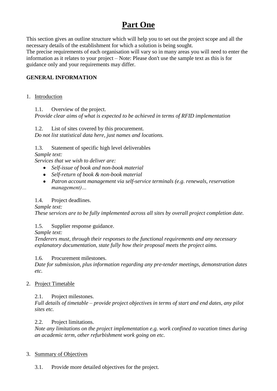## **Part One**

This section gives an outline structure which will help you to set out the project scope and all the necessary details of the establishment for which a solution is being sought.

The precise requirements of each organisation will vary so in many areas you will need to enter the information as it relates to your project – Note: Please don't use the sample text as this is for guidance only and your requirements may differ.

## **GENERAL INFORMATION**

### 1. Introduction

1.1. Overview of the project.

*Provide clear aims of what is expected to be achieved in terms of RFID implementation*

### 1.2. List of sites covered by this procurement.

*Do not list statistical data here, just names and locations.*

1.3. Statement of specific high level deliverables

*Sample text:*

*Services that we wish to deliver are:*

- *Self-issue of book and non-book material*
- *Self-return of book & non-book material*
- *Patron account management via self-service terminals (e.g. renewals, reservation management)…*

## 1.4. Project deadlines.

#### *Sample text:*

*These services are to be fully implemented across all sites by overall project completion date.*

## 1.5. Supplier response guidance.

*Sample text:*

*Tenderers must, through their responses to the functional requirements and any necessary explanatory documentation, state fully how their proposal meets the project aims.*

1.6. Procurement milestones.

*Date for submission, plus information regarding any pre-tender meetings, demonstration dates etc.*

## 2. Project Timetable

## 2.1. Project milestones.

*Full details of timetable – provide project objectives in terms of start and end dates, any pilot sites etc.*

#### 2.2. Project limitations.

*Note any limitations on the project implementation e.g. work confined to vacation times during an academic term, other refurbishment work going on etc.*

#### 3. Summary of Objectives

3.1. Provide more detailed objectives for the project.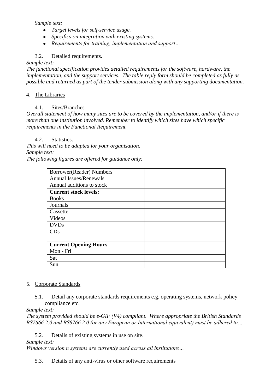*Sample text:*

- *Target levels for self-service usage.*
- *Specifics on integration with existing systems.*
- *Requirements for training, implementation and support…*

#### 3.2. Detailed requirements.

#### *Sample text:*

*The functional specification provides detailed requirements for the software, hardware, the implementation, and the support services. The table reply form should be completed as fully as possible and returned as part of the tender submission along with any supporting documentation.*

#### 4. The Libraries

#### 4.1. Sites/Branches.

*Overall statement of how many sites are to be covered by the implementation, and/or if there is more than one institution involved. Remember to identify which sites have which specific requirements in the Functional Requirement.*

#### 4.2. Statistics.

*This will need to be adapted for your organisation. Sample text: The following figures are offered for guidance only:*

| Borrower(Reader) Numbers      |  |
|-------------------------------|--|
| <b>Annual Issues/Renewals</b> |  |
| Annual additions to stock     |  |
| <b>Current stock levels:</b>  |  |
| <b>Books</b>                  |  |
| Journals                      |  |
| Cassette                      |  |
| Videos                        |  |
| <b>DVDs</b>                   |  |
| CDs                           |  |
|                               |  |
| <b>Current Opening Hours</b>  |  |
| Mon - Fri                     |  |
| Sat                           |  |
| Sun                           |  |
|                               |  |

#### 5. Corporate Standards

5.1. Detail any corporate standards requirements e.g. operating systems, network policy compliance etc.

#### *Sample text:*

*The system provided should be e-GIF (V4) compliant. Where appropriate the British Standards BS7666 2.0 and BS8766 2.0 (or any European or International equivalent) must be adhered to…*

5.2. Details of existing systems in use on site.

#### *Sample text:*

*Windows version n systems are currently used across all institutions…* 

5.3. Details of any anti-virus or other software requirements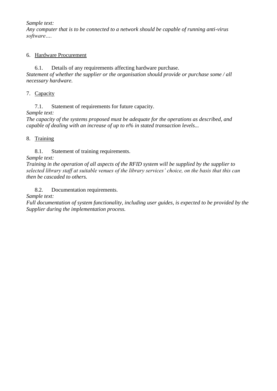*Sample text:*

*Any computer that is to be connected to a network should be capable of running anti-virus software….*

#### 6. Hardware Procurement

6.1. Details of any requirements affecting hardware purchase. *Statement of whether the supplier or the organisation should provide or purchase some / all necessary hardware.*

7. Capacity

7.1. Statement of requirements for future capacity. *Sample text:*

*The capacity of the systems proposed must be adequate for the operations as described, and capable of dealing with an increase of up to n% in stated transaction levels...* 

### 8. Training

8.1. Statement of training requirements.

*Sample text:*

*Training in the operation of all aspects of the RFID system will be supplied by the supplier to selected library staff at suitable venues of the library services' choice, on the basis that this can then be cascaded to others.* 

8.2. Documentation requirements.

*Sample text:*

*Full documentation of system functionality, including user guides, is expected to be provided by the Supplier during the implementation process.*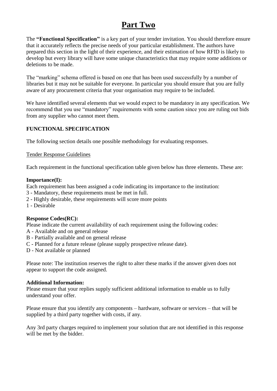## **Part Two**

The **"Functional Specification"** is a key part of your tender invitation. You should therefore ensure that it accurately reflects the precise needs of your particular establishment. The authors have prepared this section in the light of their experience, and their estimation of how RFID is likely to develop but every library will have some unique characteristics that may require some additions or deletions to be made.

The "marking" schema offered is based on one that has been used successfully by a number of libraries but it may not be suitable for everyone. In particular you should ensure that you are fully aware of any procurement criteria that your organisation may require to be included.

We have identified several elements that we would expect to be mandatory in any specification. We recommend that you use "mandatory" requirements with some caution since you are ruling out bids from any supplier who cannot meet them.

## **FUNCTIONAL SPECIFICATION**

The following section details one possible methodology for evaluating responses.

#### Tender Response Guidelines

Each requirement in the functional specification table given below has three elements. These are:

#### **Importance(I):**

Each requirement has been assigned a code indicating its importance to the institution:

- 3 Mandatory, these requirements must be met in full.
- 2 Highly desirable, these requirements will score more points
- 1 Desirable

#### **Response Codes(RC):**

Please indicate the current availability of each requirement using the following codes:

- A Available and on general release
- B Partially available and on general release
- C Planned for a future release (please supply prospective release date).
- D Not available or planned

Please note: The institution reserves the right to alter these marks if the answer given does not appear to support the code assigned.

#### **Additional Information:**

Please ensure that your replies supply sufficient additional information to enable us to fully understand your offer.

Please ensure that you identify any components – hardware, software or services – that will be supplied by a third party together with costs, if any.

Any 3rd party charges required to implement your solution that are not identified in this response will be met by the bidder.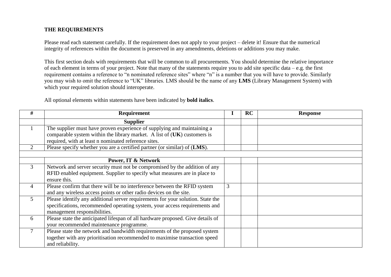#### **THE REQUIREMENTS**

Please read each statement carefully. If the requirement does not apply to your project – delete it! Ensure that the numerical integrity of references within the document is preserved in any amendments, deletions or additions you may make.

This first section deals with requirements that will be common to all procurements. You should determine the relative importance of each element in terms of your project. Note that many of the statements require you to add site specific data – e.g. the first requirement contains a reference to "n nominated reference sites" where "n" is a number that you will have to provide. Similarly you may wish to omit the reference to "UK" libraries. LMS should be the name of any **LMS** (Library Management System) with which your required solution should interoperate.

All optional elements within statements have been indicated by **bold italics**.

| #              | <b>Requirement</b>                                                              | I | RC | <b>Response</b> |
|----------------|---------------------------------------------------------------------------------|---|----|-----------------|
|                | <b>Supplier</b>                                                                 |   |    |                 |
|                | The supplier must have proven experience of supplying and maintaining a         |   |    |                 |
|                | comparable system within the library market. A list of $(UK)$ customers is      |   |    |                 |
|                | required, with at least n nominated reference sites.                            |   |    |                 |
| 2              | Please specify whether you are a certified partner (or similar) of (LMS).       |   |    |                 |
|                |                                                                                 |   |    |                 |
|                | <b>Power, IT &amp; Network</b>                                                  |   |    |                 |
| $\mathfrak{Z}$ | Network and server security must not be compromised by the addition of any      |   |    |                 |
|                | RFID enabled equipment. Supplier to specify what measures are in place to       |   |    |                 |
|                | ensure this.                                                                    |   |    |                 |
| $\overline{4}$ | Please confirm that there will be no interference between the RFID system       | 3 |    |                 |
|                | and any wireless access points or other radio devices on the site.              |   |    |                 |
| $\mathfrak{H}$ | Please identify any additional server requirements for your solution. State the |   |    |                 |
|                | specifications, recommended operating system, your access requirements and      |   |    |                 |
|                | management responsibilities.                                                    |   |    |                 |
| 6              | Please state the anticipated lifespan of all hardware proposed. Give details of |   |    |                 |
|                | your recommended maintenance programme.                                         |   |    |                 |
| $\tau$         | Please state the network and bandwidth requirements of the proposed system      |   |    |                 |
|                | together with any prioritisation recommended to maximise transaction speed      |   |    |                 |
|                | and reliability.                                                                |   |    |                 |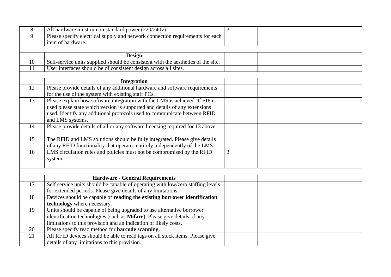| 8  | All hardware must run on standard power (220/240v)                                | $\overline{3}$ |  |
|----|-----------------------------------------------------------------------------------|----------------|--|
| 9  | Please specify electrical supply and network connection requirements for each     |                |  |
|    | item of hardware.                                                                 |                |  |
|    |                                                                                   |                |  |
|    | <b>Design</b>                                                                     |                |  |
| 10 | Self-service units supplied should be consistent with the aesthetics of the site. |                |  |
| 11 | User interfaces should be of consistent design across all sites.                  |                |  |
|    |                                                                                   |                |  |
|    | <b>Integration</b>                                                                |                |  |
| 12 | Please provide details of any additional hardware and software requirements       |                |  |
|    | for the use of the system with existing staff PCs.                                |                |  |
| 13 | Please explain how software integration with the LMS is achieved. If SIP is       |                |  |
|    | used please state which version is supported and details of any extensions        |                |  |
|    | used. Identify any additional protocols used to communicate between RFID          |                |  |
|    | and LMS systems.                                                                  |                |  |
| 14 | Please provide details of all or any software licensing required for 13 above.    |                |  |
|    |                                                                                   |                |  |
| 15 | The RFID and LMS solutions should be fully integrated. Please give details        |                |  |
|    | of any RFID functionality that operates entirely independently of the LMS.        |                |  |
| 16 | LMS circulation rules and policies must not be compromised by the RFID            | 3              |  |
|    | system.                                                                           |                |  |
|    |                                                                                   |                |  |
|    |                                                                                   |                |  |
|    | <b>Hardware - General Requirements</b>                                            |                |  |
| 17 | Self service units should be capable of operating with low/zero staffing levels   |                |  |
|    | for extended periods. Please give details of any limitations.                     |                |  |
| 18 | Devices should be capable of reading the existing borrower identification         |                |  |
|    | technology where necessary.                                                       |                |  |
| 19 | Units should be capable of being upgraded to use alternative borrower             |                |  |
|    | identification technologies (such as Mifare). Please give details of any          |                |  |
|    | limitations to this provision and an indication of likely costs.                  |                |  |
| 20 | Please specify read method for <b>barcode</b> scanning.                           |                |  |
| 21 | All RFID devices should be able to read tags on all stock items. Please give      |                |  |
|    | details of any limitations to this provision.                                     |                |  |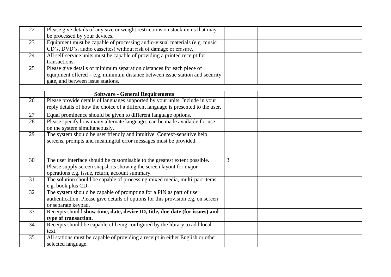| 22 | Please give details of any size or weight restrictions on stock items that may    |   |  |
|----|-----------------------------------------------------------------------------------|---|--|
|    | be processed by your devices.                                                     |   |  |
| 23 | Equipment must be capable of processing audio-visual materials (e.g. music        |   |  |
|    | CD's, DVD's, audio cassettes) without risk of damage or erasure.                  |   |  |
| 24 | All self-service units must be capable of providing a printed receipt for         |   |  |
|    | transactions.                                                                     |   |  |
| 25 | Please give details of minimum separation distances for each piece of             |   |  |
|    | equipment offered $-e.g.$ minimum distance between issue station and security     |   |  |
|    | gate, and between issue stations.                                                 |   |  |
|    |                                                                                   |   |  |
|    | <b>Software - General Requirements</b>                                            |   |  |
| 26 | Please provide details of languages supported by your units. Include in your      |   |  |
|    | reply details of how the choice of a different language is presented to the user. |   |  |
| 27 | Equal prominence should be given to different language options.                   |   |  |
| 28 | Please specify how many alternate languages can be made available for use         |   |  |
|    | on the system simultaneously.                                                     |   |  |
| 29 | The system should be user friendly and intuitive. Context-sensitive help          |   |  |
|    | screens, prompts and meaningful error messages must be provided.                  |   |  |
|    |                                                                                   |   |  |
|    |                                                                                   |   |  |
| 30 | The user interface should be customisable to the greatest extent possible.        | 3 |  |
|    | Please supply screen snapshots showing the screen layout for major                |   |  |
|    | operations e.g. issue, return, account summary.                                   |   |  |
| 31 | The solution should be capable of processing mixed media, multi-part items,       |   |  |
|    | e.g. book plus CD.                                                                |   |  |
| 32 | The system should be capable of prompting for a PIN as part of user               |   |  |
|    | authentication. Please give details of options for this provision e.g. on screen  |   |  |
|    | or separate keypad.                                                               |   |  |
| 33 | Receipts should show time, date, device ID, title, due date (for issues) and      |   |  |
|    | type of transaction.                                                              |   |  |
| 34 | Receipts should be capable of being configured by the library to add local        |   |  |
|    | text.                                                                             |   |  |
| 35 | All stations must be capable of providing a receipt in either English or other    |   |  |
|    | selected language.                                                                |   |  |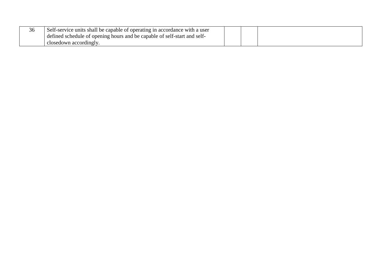| $\sim$<br>36 | Self-service units shall be capable of operating in accordance with a user |  |  |  |
|--------------|----------------------------------------------------------------------------|--|--|--|
|              | defined schedule of opening hours and be capable of self-start and self-   |  |  |  |
|              | closedown accordingly                                                      |  |  |  |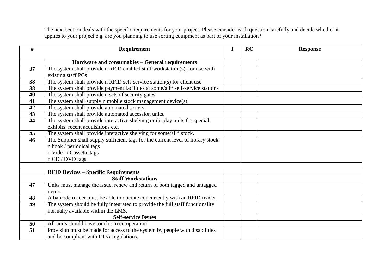The next section deals with the specific requirements for your project. Please consider each question carefully and decide whether it applies to your project e.g. are you planning to use sorting equipment as part of your installation?

| #  | <b>Requirement</b>                                                                | I | <b>RC</b> | <b>Response</b> |
|----|-----------------------------------------------------------------------------------|---|-----------|-----------------|
|    |                                                                                   |   |           |                 |
|    | Hardware and consumables - General requirements                                   |   |           |                 |
| 37 | The system shall provide n RFID enabled staff workstation(s), for use with        |   |           |                 |
|    | existing staff PCs                                                                |   |           |                 |
| 38 | The system shall provide n RFID self-service station(s) for client use            |   |           |                 |
| 38 | The system shall provide payment facilities at some/all* self-service stations    |   |           |                 |
| 40 | The system shall provide n sets of security gates                                 |   |           |                 |
| 41 | The system shall supply n mobile stock management device(s)                       |   |           |                 |
| 42 | The system shall provide automated sorters.                                       |   |           |                 |
| 43 | The system shall provide automated accession units.                               |   |           |                 |
| 44 | The system shall provide interactive shelving or display units for special        |   |           |                 |
|    | exhibits, recent acquisitions etc.                                                |   |           |                 |
| 45 | The system shall provide interactive shelving for some/all* stock.                |   |           |                 |
| 46 | The Supplier shall supply sufficient tags for the current level of library stock: |   |           |                 |
|    | n book / periodical tags                                                          |   |           |                 |
|    | n Video / Cassette tags                                                           |   |           |                 |
|    | n CD / DVD tags                                                                   |   |           |                 |
|    |                                                                                   |   |           |                 |
|    | <b>RFID Devices - Specific Requirements</b>                                       |   |           |                 |
|    | <b>Staff Workstations</b>                                                         |   |           |                 |
| 47 | Units must manage the issue, renew and return of both tagged and untagged         |   |           |                 |
|    | items.                                                                            |   |           |                 |
| 48 | A barcode reader must be able to operate concurrently with an RFID reader         |   |           |                 |
| 49 | The system should be fully integrated to provide the full staff functionality     |   |           |                 |
|    | normally available within the LMS.                                                |   |           |                 |
|    | <b>Self-service Issues</b>                                                        |   |           |                 |
| 50 | All units should have touch screen operation                                      |   |           |                 |
| 51 | Provision must be made for access to the system by people with disabilities       |   |           |                 |
|    | and be compliant with DDA regulations.                                            |   |           |                 |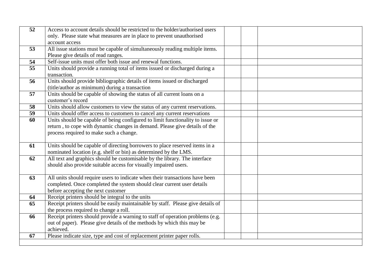| 52 | Access to account details should be restricted to the holder/authorised users   |  |
|----|---------------------------------------------------------------------------------|--|
|    | only. Please state what measures are in place to prevent unauthorised           |  |
|    | account access                                                                  |  |
| 53 | All issue stations must be capable of simultaneously reading multiple items.    |  |
|    | Please give details of read ranges.                                             |  |
| 54 | Self-issue units must offer both issue and renewal functions.                   |  |
| 55 | Units should provide a running total of items issued or discharged during a     |  |
|    | transaction.                                                                    |  |
| 56 | Units should provide bibliographic details of items issued or discharged        |  |
|    | (title/author as minimum) during a transaction                                  |  |
| 57 | Units should be capable of showing the status of all current loans on a         |  |
|    | customer's record                                                               |  |
| 58 | Units should allow customers to view the status of any current reservations.    |  |
| 59 | Units should offer access to customers to cancel any current reservations       |  |
| 60 | Units should be capable of being configured to limit functionality to issue or  |  |
|    | return, to cope with dynamic changes in demand. Please give details of the      |  |
|    | process required to make such a change.                                         |  |
|    |                                                                                 |  |
| 61 | Units should be capable of directing borrowers to place reserved items in a     |  |
|    | nominated location (e.g. shelf or bin) as determined by the LMS.                |  |
| 62 | All text and graphics should be customisable by the library. The interface      |  |
|    | should also provide suitable access for visually impaired users.                |  |
|    |                                                                                 |  |
| 63 | All units should require users to indicate when their transactions have been    |  |
|    | completed. Once completed the system should clear current user details          |  |
|    | before accepting the next customer                                              |  |
| 64 | Receipt printers should be integral to the units                                |  |
| 65 | Receipt printers should be easily maintainable by staff. Please give details of |  |
|    | the process required to change a roll.                                          |  |
| 66 | Receipt printers should provide a warning to staff of operation problems (e.g.  |  |
|    | out of paper). Please give details of the methods by which this may be          |  |
|    | achieved.                                                                       |  |
| 67 | Please indicate size, type and cost of replacement printer paper rolls.         |  |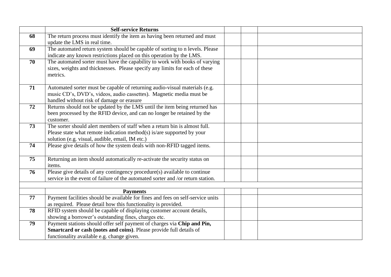|    | <b>Self-service Returns</b>                                                     |  |  |
|----|---------------------------------------------------------------------------------|--|--|
| 68 | The return process must identify the item as having been returned and must      |  |  |
|    | update the LMS in real time.                                                    |  |  |
| 69 | The automated return system should be capable of sorting to n levels. Please    |  |  |
|    | indicate any known restrictions placed on this operation by the LMS.            |  |  |
| 70 | The automated sorter must have the capability to work with books of varying     |  |  |
|    | sizes, weights and thicknesses. Please specify any limits for each of these     |  |  |
|    | metrics.                                                                        |  |  |
| 71 | Automated sorter must be capable of returning audio-visual materials (e.g.      |  |  |
|    | music CD's, DVD's, videos, audio cassettes). Magnetic media must be             |  |  |
|    | handled without risk of damage or erasure                                       |  |  |
| 72 | Returns should not be updated by the LMS until the item being returned has      |  |  |
|    | been processed by the RFID device, and can no longer be retained by the         |  |  |
|    | customer.                                                                       |  |  |
| 73 | The sorter should alert members of staff when a return bin is almost full.      |  |  |
|    | Please state what remote indication method(s) is/are supported by your          |  |  |
|    | solution (e.g. visual, audible, email, IM etc.)                                 |  |  |
| 74 | Please give details of how the system deals with non-RFID tagged items.         |  |  |
|    |                                                                                 |  |  |
| 75 | Returning an item should automatically re-activate the security status on       |  |  |
|    | items.                                                                          |  |  |
| 76 | Please give details of any contingency procedure(s) available to continue       |  |  |
|    | service in the event of failure of the automated sorter and /or return station. |  |  |
|    |                                                                                 |  |  |
|    | <b>Payments</b>                                                                 |  |  |
| 77 | Payment facilities should be available for fines and fees on self-service units |  |  |
|    | as required. Please detail how this functionality is provided.                  |  |  |
| 78 | RFID system should be capable of displaying customer account details,           |  |  |
|    | showing a borrower's outstanding fines, charges etc.                            |  |  |
| 79 | Payment stations should offer self payment of charges via Chip and Pin,         |  |  |
|    | Smartcard or cash (notes and coins). Please provide full details of             |  |  |
|    | functionality available e.g. change given.                                      |  |  |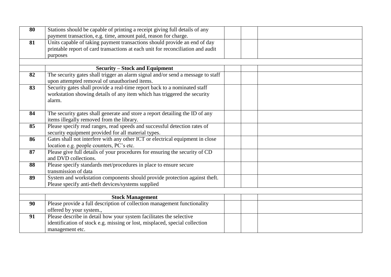| 80 | Stations should be capable of printing a receipt giving full details of any     |  |
|----|---------------------------------------------------------------------------------|--|
|    | payment transaction, e.g. time, amount paid, reason for charge.                 |  |
| 81 | Units capable of taking payment transactions should provide an end of day       |  |
|    | printable report of card transactions at each unit for reconciliation and audit |  |
|    | purposes                                                                        |  |
|    |                                                                                 |  |
|    | <b>Security – Stock and Equipment</b>                                           |  |
| 82 | The security gates shall trigger an alarm signal and/or send a message to staff |  |
|    | upon attempted removal of unauthorised items.                                   |  |
| 83 | Security gates shall provide a real-time report back to a nominated staff       |  |
|    | workstation showing details of any item which has triggered the security        |  |
|    | alarm.                                                                          |  |
|    |                                                                                 |  |
| 84 | The security gates shall generate and store a report detailing the ID of any    |  |
|    | items illegally removed from the library.                                       |  |
| 85 | Please specify read ranges, read speeds and successful detection rates of       |  |
|    | security equipment provided for all material types.                             |  |
| 86 | Gates shall not interfere with any other ICT or electrical equipment in close   |  |
|    | location e.g. people counters, PC's etc.                                        |  |
| 87 | Please give full details of your procedures for ensuring the security of CD     |  |
|    | and DVD collections.                                                            |  |
| 88 | Please specify standards met/procedures in place to ensure secure               |  |
|    | transmission of data                                                            |  |
| 89 | System and workstation components should provide protection against theft.      |  |
|    | Please specify anti-theft devices/systems supplied                              |  |
|    |                                                                                 |  |
|    | <b>Stock Management</b>                                                         |  |
| 90 | Please provide a full description of collection management functionality        |  |
|    | offered by your system.,                                                        |  |
| 91 | Please describe in detail how your system facilitates the selective             |  |
|    | identification of stock e.g. missing or lost, misplaced, special collection     |  |
|    | management etc.                                                                 |  |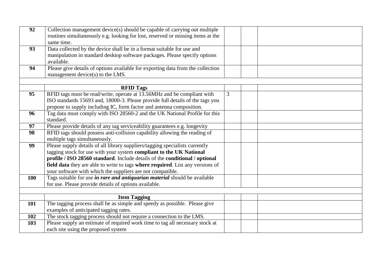| 92  | Collection management device(s) should be capable of carrying out multiple<br>routines simultaneously e.g. looking for lost, reserved or missing items at the<br>same time.                                                                                                                                                                                                        |                |  |
|-----|------------------------------------------------------------------------------------------------------------------------------------------------------------------------------------------------------------------------------------------------------------------------------------------------------------------------------------------------------------------------------------|----------------|--|
| 93  | Data collected by the device shall be in a format suitable for use and<br>manipulation in standard desktop software packages. Please specify options<br>available.                                                                                                                                                                                                                 |                |  |
| 94  | Please give details of options available for exporting data from the collection<br>management device(s) to the LMS.                                                                                                                                                                                                                                                                |                |  |
|     | <b>RFID Tags</b>                                                                                                                                                                                                                                                                                                                                                                   |                |  |
| 95  | RFID tags must be read/write, operate at 13.56MHz and be compliant with                                                                                                                                                                                                                                                                                                            | $\overline{3}$ |  |
|     | ISO standards 15693 and, 18000-3. Please provide full details of the tags you                                                                                                                                                                                                                                                                                                      |                |  |
|     | propose to supply including IC, form factor and antenna composition.                                                                                                                                                                                                                                                                                                               |                |  |
| 96  | Tag data must comply with ISO 28560-2 and the UK National Profile for this                                                                                                                                                                                                                                                                                                         |                |  |
|     | standard.                                                                                                                                                                                                                                                                                                                                                                          |                |  |
| 97  | Please provide details of any tag serviceability guarantees e.g. longevity                                                                                                                                                                                                                                                                                                         |                |  |
| 98  | RFID tags should possess anti-collision capability allowing the reading of<br>multiple tags simultaneously.                                                                                                                                                                                                                                                                        |                |  |
| 99  | Please supply details of all library suppliers/tagging specialists currently<br>tagging stock for use with your system compliant to the UK National<br>profile / ISO 28560 standard. Include details of the conditional / optional<br>field data they are able to write to tags where required. List any versions of<br>your software with which the suppliers are not compatible. |                |  |
| 100 | Tags suitable for use <i>in rare and antiquarian material</i> should be available<br>for use. Please provide details of options available.                                                                                                                                                                                                                                         |                |  |
|     |                                                                                                                                                                                                                                                                                                                                                                                    |                |  |
|     | <b>Item Tagging</b>                                                                                                                                                                                                                                                                                                                                                                |                |  |
| 101 | The tagging process shall be as simple and speedy as possible. Please give                                                                                                                                                                                                                                                                                                         |                |  |
|     | examples of anticipated tagging rates.                                                                                                                                                                                                                                                                                                                                             |                |  |
| 102 | The stock tagging process should not require a connection to the LMS.                                                                                                                                                                                                                                                                                                              |                |  |
| 103 | Please supply an estimate of required work time to tag all necessary stock at<br>each site using the proposed system                                                                                                                                                                                                                                                               |                |  |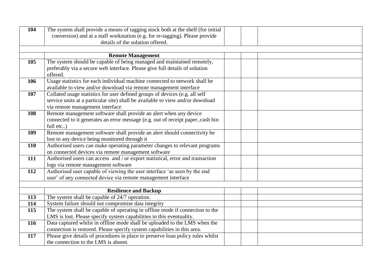| 104 | The system shall provide a means of tagging stock both at the shelf (for initial       |  |  |
|-----|----------------------------------------------------------------------------------------|--|--|
|     | conversion) and at a staff workstation (e.g. for re-tagging). Please provide           |  |  |
|     | details of the solution offered.                                                       |  |  |
|     |                                                                                        |  |  |
|     | <b>Remote Management</b>                                                               |  |  |
| 105 | The system should be capable of being managed and maintained remotely,                 |  |  |
|     | preferably via a secure web interface. Please give full details of solution            |  |  |
|     | offered.<br>Usage statistics for each individual machine connected to network shall be |  |  |
| 106 | available to view and/or download via remote management interface                      |  |  |
| 107 | Collated usage statistics for user defined groups of devices (e.g. all self            |  |  |
|     | service units at a particular site) shall be available to view and/or download         |  |  |
|     | via remote management interface                                                        |  |  |
| 108 | Remote management software shall provide an alert when any device                      |  |  |
|     | connected to it generates an error message (e.g. out of receipt papercash bin          |  |  |
|     | full etc)                                                                              |  |  |
| 109 | Remote management software shall provide an alert should connectivity be               |  |  |
|     | lost to any device being monitored through it                                          |  |  |
| 110 | Authorised users can make operating parameter changes to relevant programs             |  |  |
|     | on connected devices via remote management software                                    |  |  |
| 111 | Authorised users can access and / or export statistical, error and transaction         |  |  |
|     | logs via remote management software                                                    |  |  |
| 112 | Authorised user capable of viewing the user interface 'as seen by the end              |  |  |
|     | user' of any connected device via remote management interface                          |  |  |
|     |                                                                                        |  |  |
| 113 | <b>Resilience and Backup</b><br>The system shall be capable of 24/7 operation.         |  |  |
| 114 | System failure should not compromise data integrity                                    |  |  |
| 115 | The system shall be capable of operating in offline mode if connection to the          |  |  |
|     | LMS is lost. Please specify system capabilities in this eventuality.                   |  |  |
| 116 | Data captured whilst in offline mode shall be uploaded to the LMS when the             |  |  |
|     | connection is restored. Please specify system capabilities in this area.               |  |  |
| 117 | Please give details of procedures in place to preserve loan policy rules whilst        |  |  |
|     | the connection to the LMS is absent.                                                   |  |  |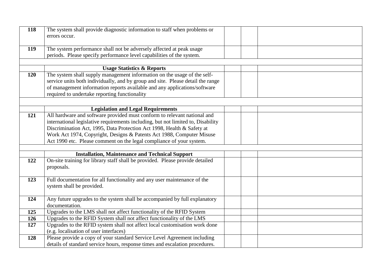| 118 | The system shall provide diagnostic information to staff when problems or<br>errors occur.                                                    |  |
|-----|-----------------------------------------------------------------------------------------------------------------------------------------------|--|
| 119 | The system performance shall not be adversely affected at peak usage<br>periods. Please specify performance level capabilities of the system. |  |
|     |                                                                                                                                               |  |
|     | <b>Usage Statistics &amp; Reports</b>                                                                                                         |  |
| 120 | The system shall supply management information on the usage of the self-                                                                      |  |
|     | service units both individually, and by group and site. Please detail the range                                                               |  |
|     | of management information reports available and any applications/software                                                                     |  |
|     | required to undertake reporting functionality                                                                                                 |  |
|     |                                                                                                                                               |  |
|     | <b>Legislation and Legal Requirements</b>                                                                                                     |  |
| 121 | All hardware and software provided must conform to relevant national and                                                                      |  |
|     | international legislative requirements including, but not limited to, Disability                                                              |  |
|     | Discrimination Act, 1995, Data Protection Act 1998, Health & Safety at                                                                        |  |
|     | Work Act 1974, Copyright, Designs & Patents Act 1988, Computer Misuse                                                                         |  |
|     | Act 1990 etc. Please comment on the legal compliance of your system.                                                                          |  |
|     |                                                                                                                                               |  |
|     | <b>Installation, Maintenance and Technical Support</b>                                                                                        |  |
| 122 | On-site training for library staff shall be provided. Please provide detailed<br>proposals.                                                   |  |
| 123 | Full documentation for all functionality and any user maintenance of the<br>system shall be provided.                                         |  |
| 124 | Any future upgrades to the system shall be accompanied by full explanatory                                                                    |  |
|     | documentation.                                                                                                                                |  |
| 125 | Upgrades to the LMS shall not affect functionality of the RFID System                                                                         |  |
| 126 | Upgrades to the RFID System shall not affect functionality of the LMS                                                                         |  |
| 127 | Upgrades to the RFID system shall not affect local customisation work done<br>(e.g. localisation of user interfaces)                          |  |
| 128 | Please provide a copy of your standard Service Level Agreement including                                                                      |  |
|     | details of standard service hours, response times and escalation procedures.                                                                  |  |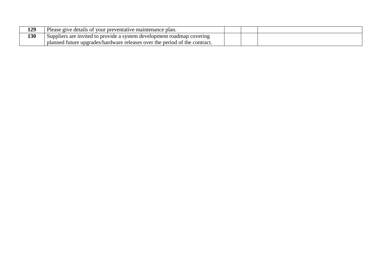| 129 | Please give details of your preventative maintenance plan.                      |  |
|-----|---------------------------------------------------------------------------------|--|
| 130 | Suppliers are invited to provide a system development roadmap covering          |  |
|     | 1 future upgrades/hardware releases over the period of the contract.<br>planned |  |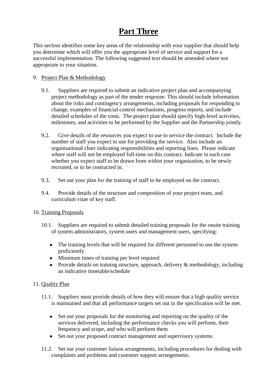## **Part Three**

This section identifies some key areas of the relationship with your supplier that should help you determine which will offer you the appropriate level of service and support for a successful implementation. The following suggested text should be amended where not appropriate to your situation.

#### 9. Project Plan & Methodology

- 9.1. Suppliers are required to submit an indicative project plan and accompanying project methodology as part of the tender response. This should include information about the risks and contingency arrangements, including proposals for responding to change, examples of financial control mechanisms, progress reports, and include detailed schedules of the costs. The project plan should specify high-level activities, milestones, and activities to be performed by the Supplier and the Partnership jointly.
- 9.2. Give details of the resources you expect to use to service the contract. Include the number of staff you expect to use for providing the service. Also include an organisational chart indicating responsibilities and reporting lines. Please indicate where staff will not be employed full-time on this contract. Indicate in each case whether you expect staff to be drawn from within your organisation, to be newly recruited, or to be contracted in.
- 9.3. Set out your plan for the training of staff to be employed on the contract.
- 9.4. Provide details of the structure and composition of your project team, and curriculum vitae of key staff.

#### 10. Training Proposals

- 10.1. Suppliers are required to submit detailed training proposals for the onsite training of system administrators, system users and management users, specifying:
	- The training levels that will be required for different personnel to use the system proficiently
	- Minimum times of training per level required
	- Provide details on training structure, approach, delivery & methodology, including an indicative timetable/schedule

## 11. Quality Plan

- 11.1. Suppliers must provide details of how they will ensure that a high quality service is maintained and that all performance targets set out in the specification will be met.
	- Set out your proposals for the monitoring and reporting on the quality of the  $\bullet$ services delivered, including the performance checks you will perform, their frequency and scope, and who will perform them
	- Set out your proposed contract management and supervisory systems
- 11.2. Set out your customer liaison arrangements, including procedures for dealing with complaints and problems and customer support arrangements.